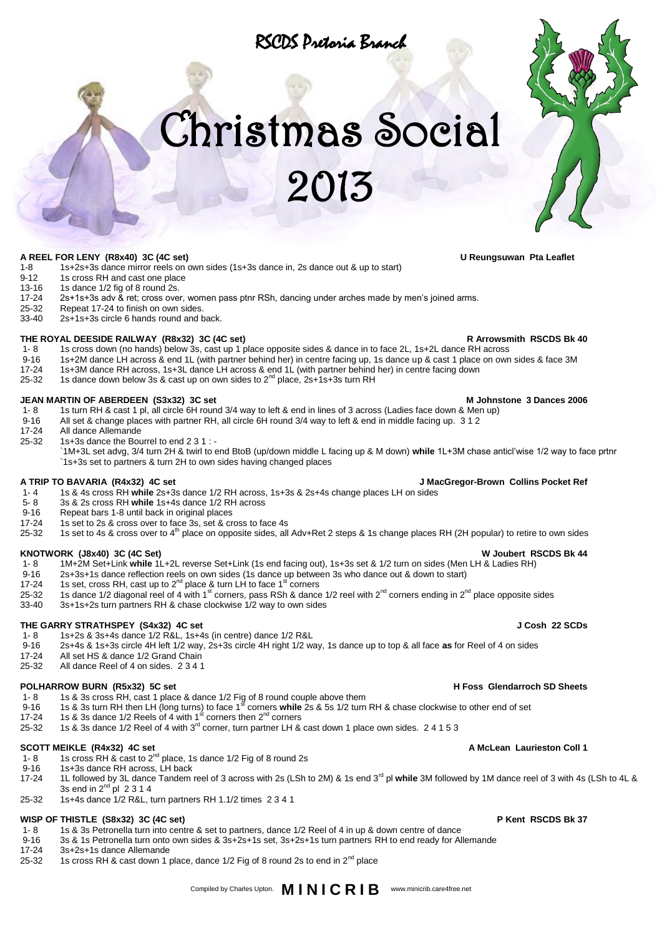# RSCDS Pretoria Branch

# Christmas Social

2013

**A REEL FOR LENY (R8x40) 3C (4C set) U Reungsuwan Pta Leaflet**

# 1-8 1s+2s+3s dance mirror reels on own sides (1s+3s dance in, 2s dance out & up to start)<br>9-12 1s cross RH and cast one place

- 9-12 1s cross RH and cast one place<br>13-16 1s dance 1/2 fig of 8 round 2s.
- 13-16 1s dance  $1/2$  fig of 8 round 2s.<br>17-24 2s+1s+3s adv & ret: cross over
- 17-24 2s+1s+3s adv & ret; cross over, women pass ptnr RSh, dancing under arches made by men's joined arms.<br>25-32 Repeat 17-24 to finish on own sides.
- 25-32 Repeat 17-24 to finish on own sides.<br>33-40 2s+1s+3s circle 6 hands round and b
- 2s+1s+3s circle 6 hands round and back.

- **THE ROYAL DEESIDE RAILWAY (R8x32) 3C (4C set) Refluit 1.8 and Bee and Bee and Bee are arrowsmith RSCDS Bk 40**<br>1-8 1s cross down (no hands) below 3s, cast up 1 place opposite sides & dance in to face 2L, 1s+2L dance RH a
- 1- 8 1s cross down (no hands) below 3s, cast up 1 place opposite sides & dance in to face 2L, 1s+2L dance RH across<br>9-16 1s+2M dance LH across & end 1L (with partner behind her) in centre facing up, 1s dance up & cast 1 pl 9-16 1s+2M dance LH across & end 1L (with partner behind her) in centre facing up, 1s dance up & cast 1 place on own sides & face 3M<br>17-24 1s+3M dance RH across 1s+3L dance LH across & end 1L (with partner behind her) in c
- 
- 17-24 1s+3M dance RH across, 1s+3L dance LH across & end 1L (with partner behind her) in centre facing down<br>25-32 1s dance down below 3s & cast up on own sides to 2<sup>nd</sup> place, 2s+1s+3s turn RH

### **JEAN MARTIN OF ABERDEEN (S3x32) 3C set MILLER SET ASSETS A SET A SET A SET A MILLER SET A SO SET A SET A SET A SET A SET A SET A SET A SET A SET A SET A SET A SET A SET A SET A SET A SET A SET A SET A SET A SET A SET A SE**

- 
- 1- 8 1s turn RH & cast 1 pl, all circle 6H round 3/4 way to left & end in lines of 3 across (Ladies face down & Men up)<br>9-16 All set & change places with partner RH, all circle 6H round 3/4 way to left & end in middle faci 9-16 All set & change places with partner RH, all circle 6H round 3/4 way to left & end in middle facing up. 3 1 2<br>17-24 All dance Allemande
- 17-24 All dance Allemande<br>25-32 1s+3s dance the Bou
- 25-32 1s+3s dance the Bourrel to end 2 3 1 :
	- `1M+3L set advg, 3/4 turn 2H & twirl to end BtoB (up/down middle L facing up & M down) **while** 1L+3M chase anticl'wise 1/2 way to face prtnr `1s+3s set to partners & turn 2H to own sides having changed places

- **A TRIP TO BAVARIA (R4x32) 4C set J MacGregor-Brown Collins Pocket Ref** 1- 4 1s & 4s cross RH **while** 2s+3s dance 1/2 RH across, 1s+3s & 2s+4s change places LH on sides
- 5- 8 3s & 2s cross RH **while** 1s+4s dance 1/2 RH across
- 
- 9-16 Repeat bars 1-8 until back in original places<br>17-24 1s set to 2s & cross over to face 3s set & cr
- 17-24 1s set to 2s & cross over to face 3s, set & cross to face 4s<br>25-32 1s set to 4s & cross over to  $4<sup>th</sup>$  place on opposite sides, all 1s set to 4s & cross over to 4<sup>th</sup> place on opposite sides, all Adv+Ret 2 steps & 1s change places RH (2H popular) to retire to own sides

- **KNOTWORK (J8x40) 3C (4C Set)**<br>1- 8 1M+2M Set+Link while 1L+2L reverse Set+Link (1s end facing out), 1s+3s set & 1/2 turn on sides (Men LH & Ladies RH) 1- 8 1M+2M Set+Link **while** 1L+2L reverse Set+Link (1s end facing out), 1s+3s set & 1/2 turn on sides (Men LH & Ladies RH)
- 9-16 2s+3s+1s dance reflection reels on own sides (1s dance up between 3s who dance out & down to start)<br>17-24 1s set. cross RH, cast up to 2<sup>nd</sup> place & turn LH to face 1<sup>st</sup> corners
- 1s set, cross RH, cast up to 2<sup>nd</sup> place & turn LH to face 1<sup>st</sup> corners
- 25-32 1s dance 1/2 diagonal reel of 4 with 1<sup>st</sup> corners, pass RSh & dance 1/2 reel with 2<sup>nd</sup> corners ending in 2<sup>nd</sup> place opposite sides
- 33-40 3s+1s+2s turn partners RH & chase clockwise 1/2 way to own sides

### **THE GARRY STRATHSPEY (S4x32) 4C set J Cosh 22 SCDs**

### 1- 8 1s+2s & 3s+4s dance 1/2 R&L, 1s+4s (in centre) dance 1/2 R&L

- 9-16 2s+4s & 1s+3s circle 4H left 1/2 way, 2s+3s circle 4H right 1/2 way, 1s dance up to top & all face **as** for Reel of 4 on sides
- 17-24 All set HS & dance 1/2 Grand Chain<br>25-32 All dance Reel of 4 on sides 2341
- All dance Reel of 4 on sides. 2 3 4 1

### **POLHARROW BURN (R5x32) 5C set H Foss Glendarroch SD Sheets**

- 
- 1- 8 1s & 3s cross RH, cast 1 place & dance 1/2 Fig of 8 round couple above them<br>9-16 1s & 3s turn RH then LH (long turns) to face 1<sup>st</sup> corners **while** 2s & 5s 1/2 turn RH & chase clockwise to other end of set
- 17-24 1s & 3s dance 1/2 Reels of 4 with 1 $^{\rm st}$  corners then 2<sup>nd</sup> corners
- 25-32 1s & 3s dance 1/2 Reel of 4 with  $3^{rd}$  corner, turn partner LH & cast down 1 place own sides. 2 4 1 5 3

- **SCOTT MEIKLE (R4x32) 4C set A McLean Laurieston Coll 1**<br>1-8 1s cross RH & cast to 2<sup>nd</sup> place, 1s dance 1/2 Fig of 8 round 2s 1s cross RH & cast to 2<sup>nd</sup> place, 1s dance 1/2 Fig of 8 round 2s
- 9-16 1s+3s dance RH across, LH back 17-24 1L followed by 3L dance Tandem reel of 3 across with 2s (LSh to 2M) & 1s end 3<sup>rd</sup> pl while 3M followed by 1M dance reel of 3 with 4s (LSh to 4L & 3s end in  $2<sup>nd</sup>$  pl 2 3 1 4
- 25-32 1s+4s dance 1/2 R&L, turn partners RH 1.1/2 times 2 3 4 1

### **WISP OF THISTLE (S8x32) 3C (4C set) P Kent RSCDS Bk 37**

### 1- 8 1s & 3s Petronella turn into centre & set to partners, dance 1/2 Reel of 4 in up & down centre of dance

- 9-16 3s & 1s Petronella turn onto own sides & 3s+2s+1s set, 3s+2s+1s turn partners RH to end ready for Allemande
- 17-24 3s+2s+1s dance Allemande<br>25-32 1s cross RH & cast down 1
- 1s cross RH & cast down 1 place, dance 1/2 Fig of 8 round 2s to end in  $2^{nd}$  place